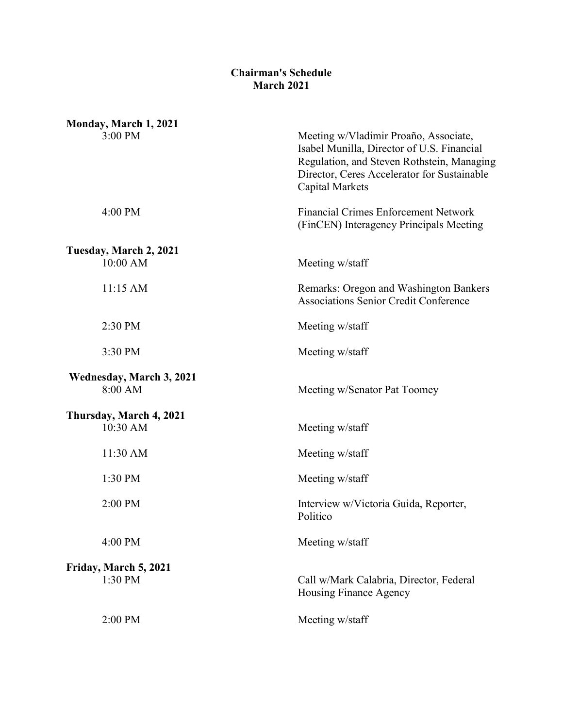## **Chairman's Schedule March 2021**

| Monday, March 1, 2021                      |                                                                                                                                                                                                            |
|--------------------------------------------|------------------------------------------------------------------------------------------------------------------------------------------------------------------------------------------------------------|
| 3:00 PM                                    | Meeting w/Vladimir Proaño, Associate,<br>Isabel Munilla, Director of U.S. Financial<br>Regulation, and Steven Rothstein, Managing<br>Director, Ceres Accelerator for Sustainable<br><b>Capital Markets</b> |
| 4:00 PM                                    | <b>Financial Crimes Enforcement Network</b><br>(FinCEN) Interagency Principals Meeting                                                                                                                     |
|                                            |                                                                                                                                                                                                            |
| Tuesday, March 2, 2021<br>$10:00$ AM       | Meeting w/staff                                                                                                                                                                                            |
| $11:15$ AM                                 | Remarks: Oregon and Washington Bankers<br><b>Associations Senior Credit Conference</b>                                                                                                                     |
| 2:30 PM                                    | Meeting w/staff                                                                                                                                                                                            |
| 3:30 PM                                    | Meeting w/staff                                                                                                                                                                                            |
| <b>Wednesday, March 3, 2021</b><br>8:00 AM | Meeting w/Senator Pat Toomey                                                                                                                                                                               |
|                                            |                                                                                                                                                                                                            |
| Thursday, March 4, 2021<br>10:30 AM        | Meeting w/staff                                                                                                                                                                                            |
| 11:30 AM                                   | Meeting w/staff                                                                                                                                                                                            |
| 1:30 PM                                    | Meeting w/staff                                                                                                                                                                                            |
| 2:00 PM                                    | Interview w/Victoria Guida, Reporter,<br>Politico                                                                                                                                                          |
| 4:00 PM                                    | Meeting w/staff                                                                                                                                                                                            |
| Friday, March 5, 2021                      |                                                                                                                                                                                                            |
| 1:30 PM                                    | Call w/Mark Calabria, Director, Federal<br>Housing Finance Agency                                                                                                                                          |
| 2:00 PM                                    | Meeting w/staff                                                                                                                                                                                            |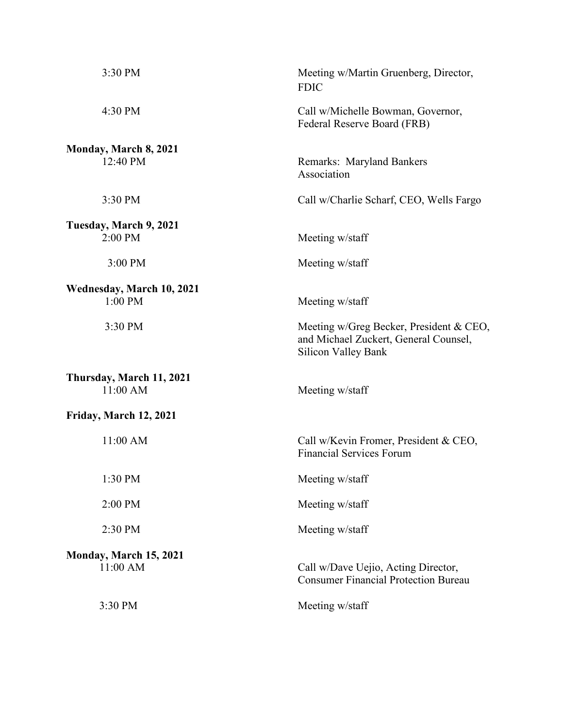| 3:30 PM                              | Meeting w/Martin Gruenberg, Director,<br><b>FDIC</b>                                                    |
|--------------------------------------|---------------------------------------------------------------------------------------------------------|
| 4:30 PM                              | Call w/Michelle Bowman, Governor,<br>Federal Reserve Board (FRB)                                        |
| Monday, March 8, 2021                |                                                                                                         |
| 12:40 PM                             | Remarks: Maryland Bankers<br>Association                                                                |
| 3:30 PM                              | Call w/Charlie Scharf, CEO, Wells Fargo                                                                 |
| Tuesday, March 9, 2021               |                                                                                                         |
| 2:00 PM                              | Meeting w/staff                                                                                         |
| 3:00 PM                              | Meeting w/staff                                                                                         |
| Wednesday, March 10, 2021            |                                                                                                         |
| 1:00 PM                              | Meeting w/staff                                                                                         |
| 3:30 PM                              | Meeting w/Greg Becker, President & CEO,<br>and Michael Zuckert, General Counsel,<br>Silicon Valley Bank |
| Thursday, March 11, 2021<br>11:00 AM | Meeting w/staff                                                                                         |
| Friday, March 12, 2021               |                                                                                                         |
| 11:00 AM                             | Call w/Kevin Fromer, President & CEO,<br><b>Financial Services Forum</b>                                |
| 1:30 PM                              | Meeting w/staff                                                                                         |
| 2:00 PM                              | Meeting w/staff                                                                                         |
| 2:30 PM                              | Meeting w/staff                                                                                         |
| Monday, March 15, 2021               |                                                                                                         |
| 11:00 AM                             | Call w/Dave Uejio, Acting Director,<br><b>Consumer Financial Protection Bureau</b>                      |
| 3:30 PM                              | Meeting w/staff                                                                                         |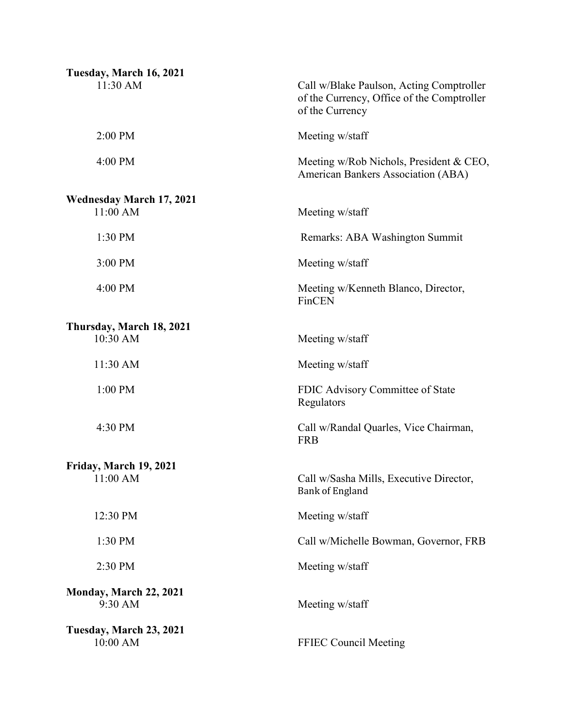| Tuesday, March 16, 2021                     |                                                                                                           |
|---------------------------------------------|-----------------------------------------------------------------------------------------------------------|
| 11:30 AM                                    | Call w/Blake Paulson, Acting Comptroller<br>of the Currency, Office of the Comptroller<br>of the Currency |
| 2:00 PM                                     | Meeting w/staff                                                                                           |
| 4:00 PM                                     | Meeting w/Rob Nichols, President & CEO,<br>American Bankers Association (ABA)                             |
| <b>Wednesday March 17, 2021</b><br>11:00 AM | Meeting w/staff                                                                                           |
| 1:30 PM                                     | Remarks: ABA Washington Summit                                                                            |
| 3:00 PM                                     | Meeting w/staff                                                                                           |
| 4:00 PM                                     | Meeting w/Kenneth Blanco, Director,<br>FinCEN                                                             |
| Thursday, March 18, 2021<br>10:30 AM        | Meeting w/staff                                                                                           |
| 11:30 AM                                    | Meeting w/staff                                                                                           |
| 1:00 PM                                     | FDIC Advisory Committee of State<br>Regulators                                                            |
| 4:30 PM                                     | Call w/Randal Quarles, Vice Chairman,<br><b>FRB</b>                                                       |
| Friday, March 19, 2021                      |                                                                                                           |
| 11:00 AM                                    | Call w/Sasha Mills, Executive Director,<br><b>Bank of England</b>                                         |
| 12:30 PM                                    | Meeting w/staff                                                                                           |
| 1:30 PM                                     | Call w/Michelle Bowman, Governor, FRB                                                                     |
| 2:30 PM                                     | Meeting w/staff                                                                                           |
| <b>Monday, March 22, 2021</b><br>9:30 AM    | Meeting w/staff                                                                                           |
| Tuesday, March 23, 2021<br>10:00 AM         | FFIEC Council Meeting                                                                                     |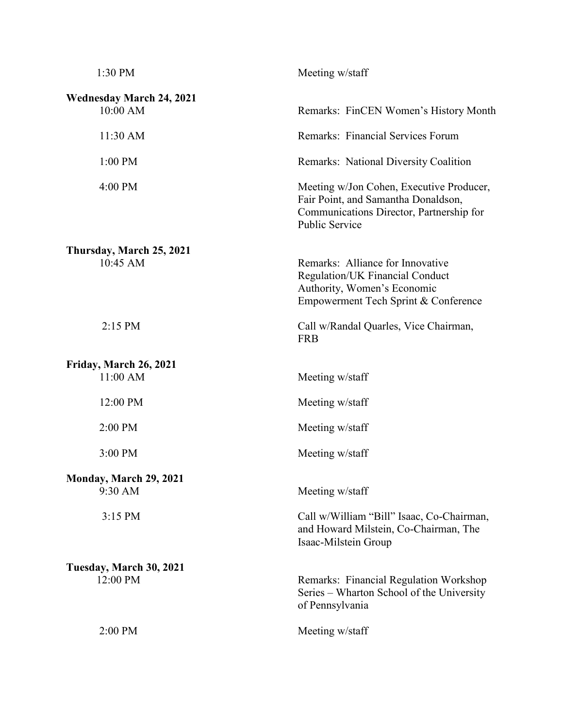| 1:30 PM                                     | Meeting w/staff                                                                                                                                      |
|---------------------------------------------|------------------------------------------------------------------------------------------------------------------------------------------------------|
| <b>Wednesday March 24, 2021</b><br>10:00 AM | Remarks: FinCEN Women's History Month                                                                                                                |
| 11:30 AM                                    | Remarks: Financial Services Forum                                                                                                                    |
| 1:00 PM                                     | <b>Remarks: National Diversity Coalition</b>                                                                                                         |
| 4:00 PM                                     | Meeting w/Jon Cohen, Executive Producer,<br>Fair Point, and Samantha Donaldson,<br>Communications Director, Partnership for<br><b>Public Service</b> |
| Thursday, March 25, 2021<br>10:45 AM        | Remarks: Alliance for Innovative<br>Regulation/UK Financial Conduct<br>Authority, Women's Economic<br>Empowerment Tech Sprint & Conference           |
| 2:15 PM                                     | Call w/Randal Quarles, Vice Chairman,<br><b>FRB</b>                                                                                                  |
| Friday, March 26, 2021<br>11:00 AM          | Meeting w/staff                                                                                                                                      |
| 12:00 PM                                    | Meeting w/staff                                                                                                                                      |
| 2:00 PM                                     | Meeting w/staff                                                                                                                                      |
| 3:00 PM                                     | Meeting w/staff                                                                                                                                      |
| Monday, March 29, 2021<br>9:30 AM           |                                                                                                                                                      |
|                                             | Meeting w/staff                                                                                                                                      |
| 3:15 PM                                     | Call w/William "Bill" Isaac, Co-Chairman,<br>and Howard Milstein, Co-Chairman, The<br>Isaac-Milstein Group                                           |
| Tuesday, March 30, 2021                     |                                                                                                                                                      |
| 12:00 PM                                    | Remarks: Financial Regulation Workshop<br>Series – Wharton School of the University<br>of Pennsylvania                                               |
| 2:00 PM                                     | Meeting w/staff                                                                                                                                      |